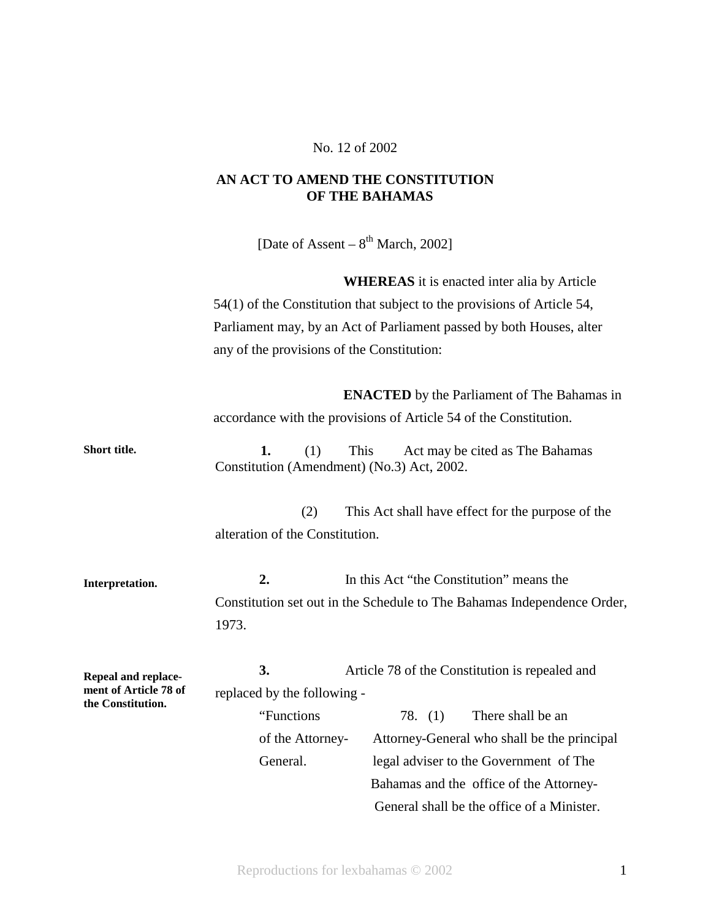## No. 12 of 2002

## **AN ACT TO AMEND THE CONSTITUTION OF THE BAHAMAS**

[Date of Assent –  $8<sup>th</sup>$  March, 2002]

**WHEREAS** it is enacted inter alia by Article 54(1) of the Constitution that subject to the provisions of Article 54, Parliament may, by an Act of Parliament passed by both Houses, alter any of the provisions of the Constitution:

**ENACTED** by the Parliament of The Bahamas in accordance with the provisions of Article 54 of the Constitution.

**Short title. 1.** (1) This Act may be cited as The Bahamas Constitution (Amendment) (No.3) Act, 2002.

> (2) This Act shall have effect for the purpose of the alteration of the Constitution.

**Interpretation. 2.** In this Act "the Constitution" means the Constitution set out in the Schedule to The Bahamas Independence Order, 1973.

**Repeal and replacement of Article 78 of the Constitution. 3.** Article 78 of the Constitution is repealed and replaced by the following -

> "Functions 78. (1) There shall be an of the Attorney- Attorney-General who shall be the principal General. legal adviser to the Government of The Bahamas and the office of the Attorney- General shall be the office of a Minister.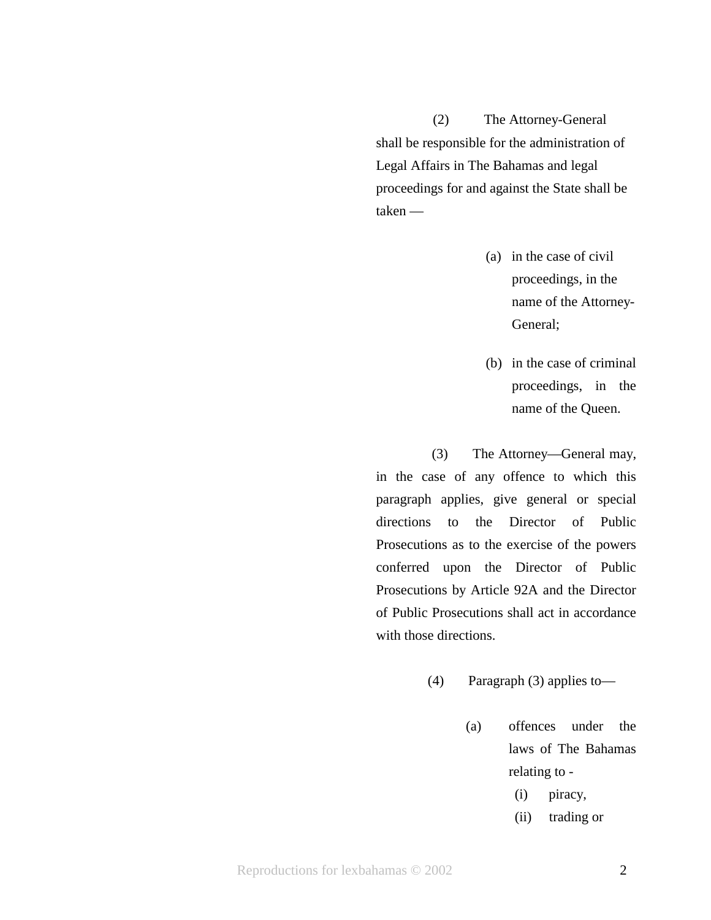(2) The Attorney-General shall be responsible for the administration of Legal Affairs in The Bahamas and legal proceedings for and against the State shall be taken —

- (a) in the case of civil proceedings, in the name of the Attorney-General;
- (b) in the case of criminal proceedings, in the name of the Queen.

 (3) The Attorney—General may, in the case of any offence to which this paragraph applies, give general or special directions to the Director of Public Prosecutions as to the exercise of the powers conferred upon the Director of Public Prosecutions by Article 92A and the Director of Public Prosecutions shall act in accordance with those directions.

- (4) Paragraph (3) applies to—
	- (a) offences under the laws of The Bahamas relating to -
		- (i) piracy,
		- (ii) trading or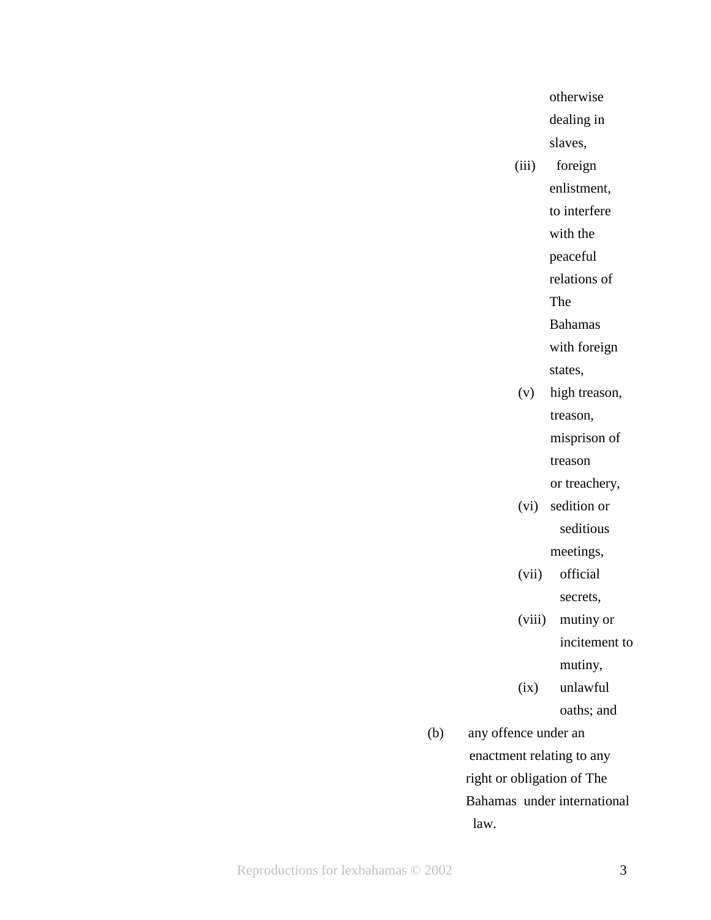otherwise dealing in slaves,

(iii) foreign enlistment, to interfere with the peaceful

relations of

**The Strategy of The Strategy** 

Bahamas

with foreign

- states,
	- (v) high treason, treason, misprison of treason

or treachery,

(vi) sedition or seditious

meetings,

- (vii) official secrets,
- (viii) mutiny or incitement to mutiny,
- (ix) unlawful

oaths; and

 (b) any offence under an enactment relating to any right or obligation of The Bahamas under international law.